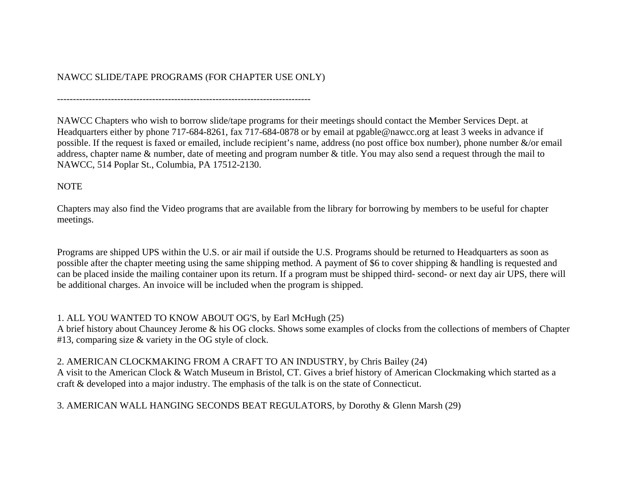# NAWCC SLIDE/TAPE PROGRAMS (FOR CHAPTER USE ONLY)

--------------------------------------------------------------------------------

NAWCC Chapters who wish to borrow slide/tape programs for their meetings should contact the Member Services Dept. at Headquarters either by phone 717-684-8261, fax 717-684-0878 or by email at pgable@nawcc.org at least 3 weeks in advance if possible. If the request is faxed or emailed, include recipient's name, address (no post office box number), phone number &/or email address, chapter name & number, date of meeting and program number & title. You may also send a request through the mail to NAWCC, 514 Poplar St., Columbia, PA 17512-2130.

#### NOTE

Chapters may also find the Video programs that are available from the library for borrowing by members to be useful for chapter meetings.

Programs are shipped UPS within the U.S. or air mail if outside the U.S. Programs should be returned to Headquarters as soon as possible after the chapter meeting using the same shipping method. A payment of \$6 to cover shipping & handling is requested and can be placed inside the mailing container upon its return. If a program must be shipped third- second- or next day air UPS, there will be additional charges. An invoice will be included when the program is shipped.

#### 1. ALL YOU WANTED TO KNOW ABOUT OG'S, by Earl McHugh (25)

A brief history about Chauncey Jerome & his OG clocks. Shows some examples of clocks from the collections of members of Chapter #13, comparing size & variety in the OG style of clock.

#### 2. AMERICAN CLOCKMAKING FROM A CRAFT TO AN INDUSTRY, by Chris Bailey (24)

A visit to the American Clock & Watch Museum in Bristol, CT. Gives a brief history of American Clockmaking which started as a craft & developed into a major industry. The emphasis of the talk is on the state of Connecticut.

# 3. AMERICAN WALL HANGING SECONDS BEAT REGULATORS, by Dorothy & Glenn Marsh (29)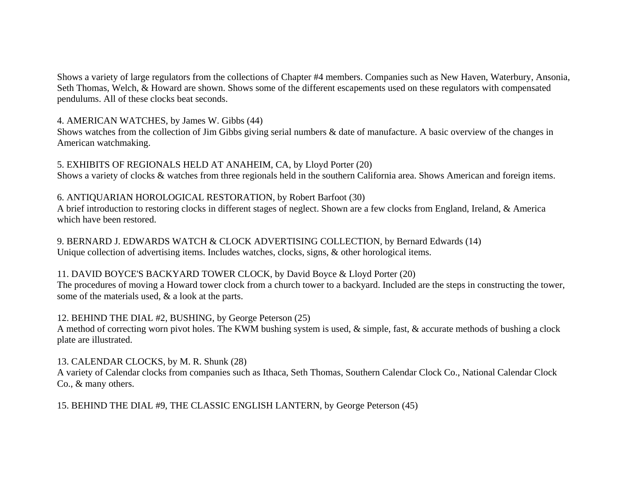Shows a variety of large regulators from the collections of Chapter #4 members. Companies such as New Haven, Waterbury, Ansonia, Seth Thomas, Welch, & Howard are shown. Shows some of the different escapements used on these regulators with compensated pendulums. All of these clocks beat seconds.

4. AMERICAN WATCHES, by James W. Gibbs (44)

Shows watches from the collection of Jim Gibbs giving serial numbers & date of manufacture. A basic overview of the changes in American watchmaking.

5. EXHIBITS OF REGIONALS HELD AT ANAHEIM, CA, by Lloyd Porter (20) Shows a variety of clocks & watches from three regionals held in the southern California area. Shows American and foreign items.

#### 6. ANTIQUARIAN HOROLOGICAL RESTORATION, by Robert Barfoot (30)

A brief introduction to restoring clocks in different stages of neglect. Shown are a few clocks from England, Ireland, & America which have been restored.

9. BERNARD J. EDWARDS WATCH & CLOCK ADVERTISING COLLECTION, by Bernard Edwards (14) Unique collection of advertising items. Includes watches, clocks, signs, & other horological items.

#### 11. DAVID BOYCE'S BACKYARD TOWER CLOCK, by David Boyce & Lloyd Porter (20)

The procedures of moving a Howard tower clock from a church tower to a backyard. Included are the steps in constructing the tower, some of the materials used, & a look at the parts.

#### 12. BEHIND THE DIAL #2, BUSHING, by George Peterson (25)

A method of correcting worn pivot holes. The KWM bushing system is used, & simple, fast, & accurate methods of bushing a clock plate are illustrated.

#### 13. CALENDAR CLOCKS, by M. R. Shunk (28)

A variety of Calendar clocks from companies such as Ithaca, Seth Thomas, Southern Calendar Clock Co., National Calendar Clock Co., & many others.

15. BEHIND THE DIAL #9, THE CLASSIC ENGLISH LANTERN, by George Peterson (45)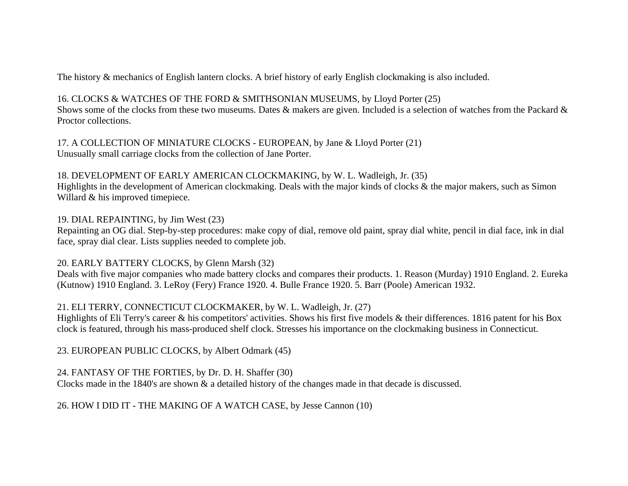The history & mechanics of English lantern clocks. A brief history of early English clockmaking is also included.

#### 16. CLOCKS & WATCHES OF THE FORD & SMITHSONIAN MUSEUMS, by Lloyd Porter (25)

Shows some of the clocks from these two museums. Dates & makers are given. Included is a selection of watches from the Packard & Proctor collections.

17. A COLLECTION OF MINIATURE CLOCKS - EUROPEAN, by Jane & Lloyd Porter (21) Unusually small carriage clocks from the collection of Jane Porter.

#### 18. DEVELOPMENT OF EARLY AMERICAN CLOCKMAKING, by W. L. Wadleigh, Jr. (35)

Highlights in the development of American clockmaking. Deals with the major kinds of clocks & the major makers, such as Simon Willard & his improved timepiece.

#### 19. DIAL REPAINTING, by Jim West (23)

Repainting an OG dial. Step-by-step procedures: make copy of dial, remove old paint, spray dial white, pencil in dial face, ink in dial face, spray dial clear. Lists supplies needed to complete job.

# 20. EARLY BATTERY CLOCKS, by Glenn Marsh (32)

Deals with five major companies who made battery clocks and compares their products. 1. Reason (Murday) 1910 England. 2. Eureka (Kutnow) 1910 England. 3. LeRoy (Fery) France 1920. 4. Bulle France 1920. 5. Barr (Poole) American 1932.

# 21. ELI TERRY, CONNECTICUT CLOCKMAKER, by W. L. Wadleigh, Jr. (27)

Highlights of Eli Terry's career & his competitors' activities. Shows his first five models & their differences. 1816 patent for his Box clock is featured, through his mass-produced shelf clock. Stresses his importance on the clockmaking business in Connecticut.

23. EUROPEAN PUBLIC CLOCKS, by Albert Odmark (45)

# 24. FANTASY OF THE FORTIES, by Dr. D. H. Shaffer (30)

Clocks made in the 1840's are shown & a detailed history of the changes made in that decade is discussed.

# 26. HOW I DID IT - THE MAKING OF A WATCH CASE, by Jesse Cannon (10)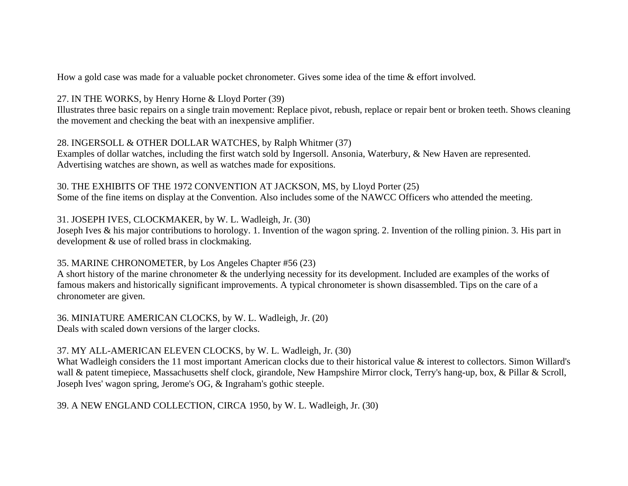How a gold case was made for a valuable pocket chronometer. Gives some idea of the time & effort involved.

27. IN THE WORKS, by Henry Horne & Lloyd Porter (39)

Illustrates three basic repairs on a single train movement: Replace pivot, rebush, replace or repair bent or broken teeth. Shows cleaning the movement and checking the beat with an inexpensive amplifier.

#### 28. INGERSOLL & OTHER DOLLAR WATCHES, by Ralph Whitmer (37)

Examples of dollar watches, including the first watch sold by Ingersoll. Ansonia, Waterbury, & New Haven are represented. Advertising watches are shown, as well as watches made for expositions.

30. THE EXHIBITS OF THE 1972 CONVENTION AT JACKSON, MS, by Lloyd Porter (25) Some of the fine items on display at the Convention. Also includes some of the NAWCC Officers who attended the meeting.

31. JOSEPH IVES, CLOCKMAKER, by W. L. Wadleigh, Jr. (30)

Joseph Ives & his major contributions to horology. 1. Invention of the wagon spring. 2. Invention of the rolling pinion. 3. His part in development & use of rolled brass in clockmaking.

#### 35. MARINE CHRONOMETER, by Los Angeles Chapter #56 (23)

A short history of the marine chronometer & the underlying necessity for its development. Included are examples of the works of famous makers and historically significant improvements. A typical chronometer is shown disassembled. Tips on the care of a chronometer are given.

36. MINIATURE AMERICAN CLOCKS, by W. L. Wadleigh, Jr. (20) Deals with scaled down versions of the larger clocks.

#### 37. MY ALL-AMERICAN ELEVEN CLOCKS, by W. L. Wadleigh, Jr. (30)

What Wadleigh considers the 11 most important American clocks due to their historical value & interest to collectors. Simon Willard's wall & patent timepiece, Massachusetts shelf clock, girandole, New Hampshire Mirror clock, Terry's hang-up, box, & Pillar & Scroll, Joseph Ives' wagon spring, Jerome's OG, & Ingraham's gothic steeple.

39. A NEW ENGLAND COLLECTION, CIRCA 1950, by W. L. Wadleigh, Jr. (30)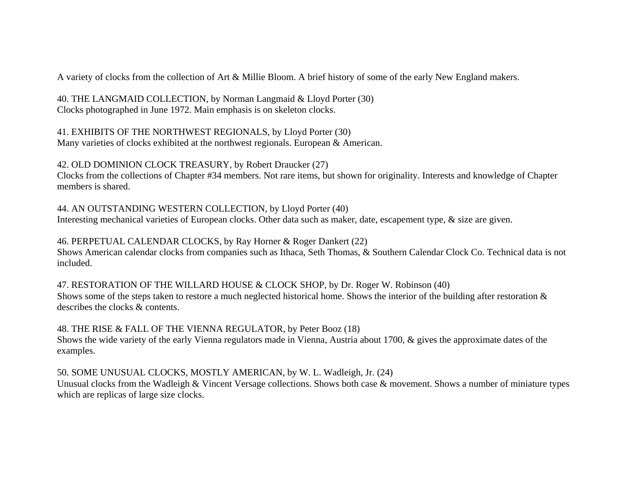A variety of clocks from the collection of Art & Millie Bloom. A brief history of some of the early New England makers.

40. THE LANGMAID COLLECTION, by Norman Langmaid & Lloyd Porter (30) Clocks photographed in June 1972. Main emphasis is on skeleton clocks.

41. EXHIBITS OF THE NORTHWEST REGIONALS, by Lloyd Porter (30) Many varieties of clocks exhibited at the northwest regionals. European & American.

42. OLD DOMINION CLOCK TREASURY, by Robert Draucker (27)

Clocks from the collections of Chapter #34 members. Not rare items, but shown for originality. Interests and knowledge of Chapter members is shared.

44. AN OUTSTANDING WESTERN COLLECTION, by Lloyd Porter (40) Interesting mechanical varieties of European clocks. Other data such as maker, date, escapement type, & size are given.

46. PERPETUAL CALENDAR CLOCKS, by Ray Horner & Roger Dankert (22)

Shows American calendar clocks from companies such as Ithaca, Seth Thomas, & Southern Calendar Clock Co. Technical data is not included.

47. RESTORATION OF THE WILLARD HOUSE & CLOCK SHOP, by Dr. Roger W. Robinson (40) Shows some of the steps taken to restore a much neglected historical home. Shows the interior of the building after restoration & describes the clocks & contents.

48. THE RISE & FALL OF THE VIENNA REGULATOR, by Peter Booz (18) Shows the wide variety of the early Vienna regulators made in Vienna, Austria about 1700, & gives the approximate dates of the examples.

50. SOME UNUSUAL CLOCKS, MOSTLY AMERICAN, by W. L. Wadleigh, Jr. (24)

Unusual clocks from the Wadleigh & Vincent Versage collections. Shows both case & movement. Shows a number of miniature types which are replicas of large size clocks.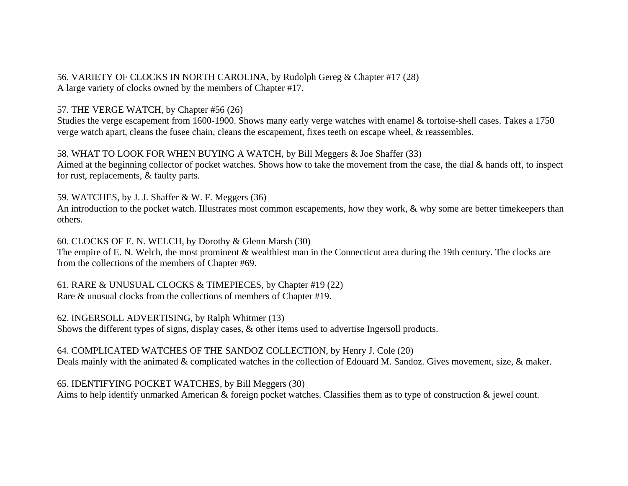56. VARIETY OF CLOCKS IN NORTH CAROLINA, by Rudolph Gereg & Chapter #17 (28) A large variety of clocks owned by the members of Chapter #17.

57. THE VERGE WATCH, by Chapter #56 (26)

Studies the verge escapement from 1600-1900. Shows many early verge watches with enamel & tortoise-shell cases. Takes a 1750 verge watch apart, cleans the fusee chain, cleans the escapement, fixes teeth on escape wheel, & reassembles.

58. WHAT TO LOOK FOR WHEN BUYING A WATCH, by Bill Meggers & Joe Shaffer (33)

Aimed at the beginning collector of pocket watches. Shows how to take the movement from the case, the dial & hands off, to inspect for rust, replacements, & faulty parts.

59. WATCHES, by J. J. Shaffer & W. F. Meggers (36)

An introduction to the pocket watch. Illustrates most common escapements, how they work,  $\&$  why some are better timekeepers than others.

60. CLOCKS OF E. N. WELCH, by Dorothy & Glenn Marsh (30)

The empire of E. N. Welch, the most prominent & wealthiest man in the Connecticut area during the 19th century. The clocks are from the collections of the members of Chapter #69.

61. RARE & UNUSUAL CLOCKS & TIMEPIECES, by Chapter #19 (22) Rare & unusual clocks from the collections of members of Chapter #19.

62. INGERSOLL ADVERTISING, by Ralph Whitmer (13) Shows the different types of signs, display cases, & other items used to advertise Ingersoll products.

64. COMPLICATED WATCHES OF THE SANDOZ COLLECTION, by Henry J. Cole (20) Deals mainly with the animated & complicated watches in the collection of Edouard M. Sandoz. Gives movement, size, & maker.

65. IDENTIFYING POCKET WATCHES, by Bill Meggers (30) Aims to help identify unmarked American & foreign pocket watches. Classifies them as to type of construction & jewel count.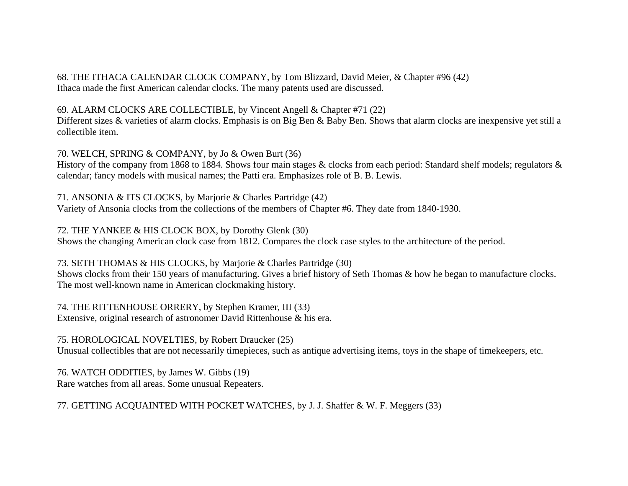68. THE ITHACA CALENDAR CLOCK COMPANY, by Tom Blizzard, David Meier, & Chapter #96 (42) Ithaca made the first American calendar clocks. The many patents used are discussed.

69. ALARM CLOCKS ARE COLLECTIBLE, by Vincent Angell & Chapter #71 (22)

Different sizes & varieties of alarm clocks. Emphasis is on Big Ben & Baby Ben. Shows that alarm clocks are inexpensive yet still a collectible item.

70. WELCH, SPRING & COMPANY, by Jo & Owen Burt (36)

History of the company from 1868 to 1884. Shows four main stages & clocks from each period: Standard shelf models; regulators & calendar; fancy models with musical names; the Patti era. Emphasizes role of B. B. Lewis.

71. ANSONIA & ITS CLOCKS, by Marjorie & Charles Partridge (42) Variety of Ansonia clocks from the collections of the members of Chapter #6. They date from 1840-1930.

72. THE YANKEE & HIS CLOCK BOX, by Dorothy Glenk (30)

Shows the changing American clock case from 1812. Compares the clock case styles to the architecture of the period.

73. SETH THOMAS & HIS CLOCKS, by Marjorie & Charles Partridge (30)

Shows clocks from their 150 years of manufacturing. Gives a brief history of Seth Thomas & how he began to manufacture clocks. The most well-known name in American clockmaking history.

74. THE RITTENHOUSE ORRERY, by Stephen Kramer, III (33) Extensive, original research of astronomer David Rittenhouse & his era.

75. HOROLOGICAL NOVELTIES, by Robert Draucker (25)

Unusual collectibles that are not necessarily timepieces, such as antique advertising items, toys in the shape of timekeepers, etc.

76. WATCH ODDITIES, by James W. Gibbs (19) Rare watches from all areas. Some unusual Repeaters.

77. GETTING ACQUAINTED WITH POCKET WATCHES, by J. J. Shaffer & W. F. Meggers (33)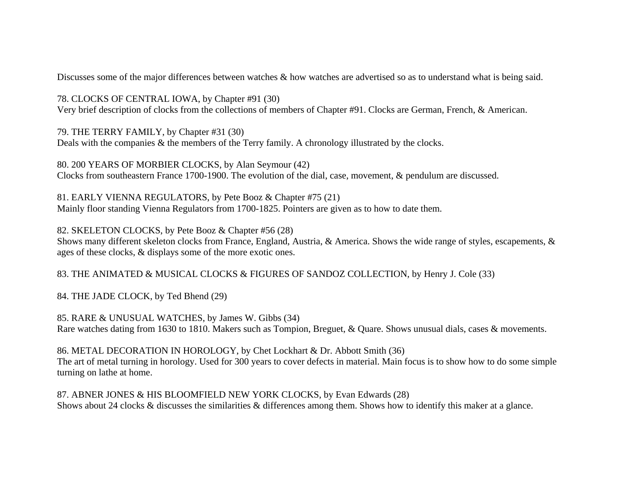Discusses some of the major differences between watches & how watches are advertised so as to understand what is being said.

78. CLOCKS OF CENTRAL IOWA, by Chapter #91 (30) Very brief description of clocks from the collections of members of Chapter #91. Clocks are German, French, & American.

79. THE TERRY FAMILY, by Chapter #31 (30) Deals with the companies & the members of the Terry family. A chronology illustrated by the clocks.

80. 200 YEARS OF MORBIER CLOCKS, by Alan Seymour (42) Clocks from southeastern France 1700-1900. The evolution of the dial, case, movement, & pendulum are discussed.

81. EARLY VIENNA REGULATORS, by Pete Booz & Chapter #75 (21) Mainly floor standing Vienna Regulators from 1700-1825. Pointers are given as to how to date them.

82. SKELETON CLOCKS, by Pete Booz & Chapter #56 (28)

Shows many different skeleton clocks from France, England, Austria, & America. Shows the wide range of styles, escapements, & ages of these clocks, & displays some of the more exotic ones.

83. THE ANIMATED & MUSICAL CLOCKS & FIGURES OF SANDOZ COLLECTION, by Henry J. Cole (33)

84. THE JADE CLOCK, by Ted Bhend (29)

85. RARE & UNUSUAL WATCHES, by James W. Gibbs (34) Rare watches dating from 1630 to 1810. Makers such as Tompion, Breguet, & Quare. Shows unusual dials, cases & movements.

86. METAL DECORATION IN HOROLOGY, by Chet Lockhart & Dr. Abbott Smith (36) The art of metal turning in horology. Used for 300 years to cover defects in material. Main focus is to show how to do some simple turning on lathe at home.

87. ABNER JONES & HIS BLOOMFIELD NEW YORK CLOCKS, by Evan Edwards (28) Shows about 24 clocks & discusses the similarities & differences among them. Shows how to identify this maker at a glance.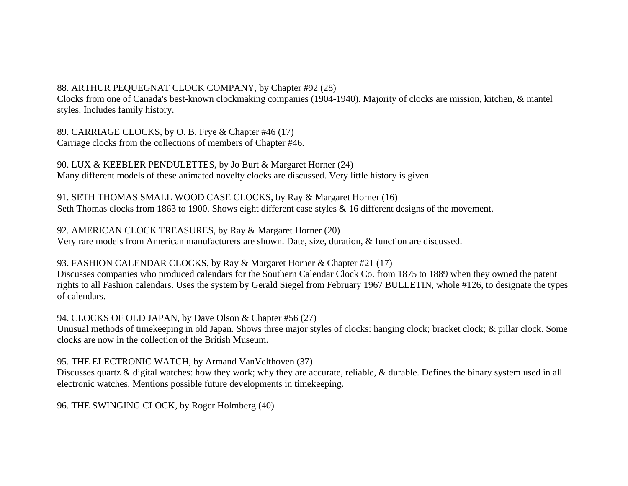# 88. ARTHUR PEQUEGNAT CLOCK COMPANY, by Chapter #92 (28)

Clocks from one of Canada's best-known clockmaking companies (1904-1940). Majority of clocks are mission, kitchen, & mantel styles. Includes family history.

89. CARRIAGE CLOCKS, by O. B. Frye & Chapter #46 (17) Carriage clocks from the collections of members of Chapter #46.

90. LUX & KEEBLER PENDULETTES, by Jo Burt & Margaret Horner (24) Many different models of these animated novelty clocks are discussed. Very little history is given.

91. SETH THOMAS SMALL WOOD CASE CLOCKS, by Ray & Margaret Horner (16) Seth Thomas clocks from 1863 to 1900. Shows eight different case styles & 16 different designs of the movement.

92. AMERICAN CLOCK TREASURES, by Ray & Margaret Horner (20) Very rare models from American manufacturers are shown. Date, size, duration, & function are discussed.

93. FASHION CALENDAR CLOCKS, by Ray & Margaret Horner & Chapter #21 (17)

Discusses companies who produced calendars for the Southern Calendar Clock Co. from 1875 to 1889 when they owned the patent rights to all Fashion calendars. Uses the system by Gerald Siegel from February 1967 BULLETIN, whole #126, to designate the types of calendars.

94. CLOCKS OF OLD JAPAN, by Dave Olson & Chapter #56 (27)

Unusual methods of timekeeping in old Japan. Shows three major styles of clocks: hanging clock; bracket clock; & pillar clock. Some clocks are now in the collection of the British Museum.

#### 95. THE ELECTRONIC WATCH, by Armand VanVelthoven (37)

Discusses quartz & digital watches: how they work; why they are accurate, reliable, & durable. Defines the binary system used in all electronic watches. Mentions possible future developments in timekeeping.

96. THE SWINGING CLOCK, by Roger Holmberg (40)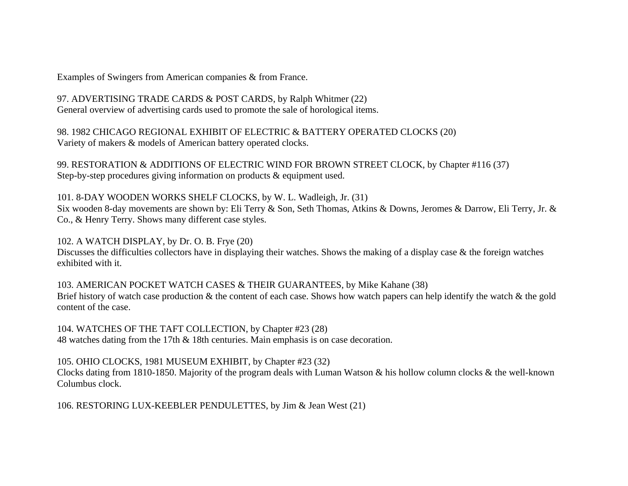Examples of Swingers from American companies & from France.

97. ADVERTISING TRADE CARDS & POST CARDS, by Ralph Whitmer (22) General overview of advertising cards used to promote the sale of horological items.

98. 1982 CHICAGO REGIONAL EXHIBIT OF ELECTRIC & BATTERY OPERATED CLOCKS (20) Variety of makers & models of American battery operated clocks.

99. RESTORATION & ADDITIONS OF ELECTRIC WIND FOR BROWN STREET CLOCK, by Chapter #116 (37) Step-by-step procedures giving information on products & equipment used.

101. 8-DAY WOODEN WORKS SHELF CLOCKS, by W. L. Wadleigh, Jr. (31) Six wooden 8-day movements are shown by: Eli Terry & Son, Seth Thomas, Atkins & Downs, Jeromes & Darrow, Eli Terry, Jr. & Co., & Henry Terry. Shows many different case styles.

102. A WATCH DISPLAY, by Dr. O. B. Frye (20) Discusses the difficulties collectors have in displaying their watches. Shows the making of a display case & the foreign watches

exhibited with it.

103. AMERICAN POCKET WATCH CASES & THEIR GUARANTEES, by Mike Kahane (38) Brief history of watch case production & the content of each case. Shows how watch papers can help identify the watch & the gold content of the case.

104. WATCHES OF THE TAFT COLLECTION, by Chapter #23 (28) 48 watches dating from the 17th & 18th centuries. Main emphasis is on case decoration.

105. OHIO CLOCKS, 1981 MUSEUM EXHIBIT, by Chapter #23 (32) Clocks dating from 1810-1850. Majority of the program deals with Luman Watson & his hollow column clocks & the well-known Columbus clock.

106. RESTORING LUX-KEEBLER PENDULETTES, by Jim & Jean West (21)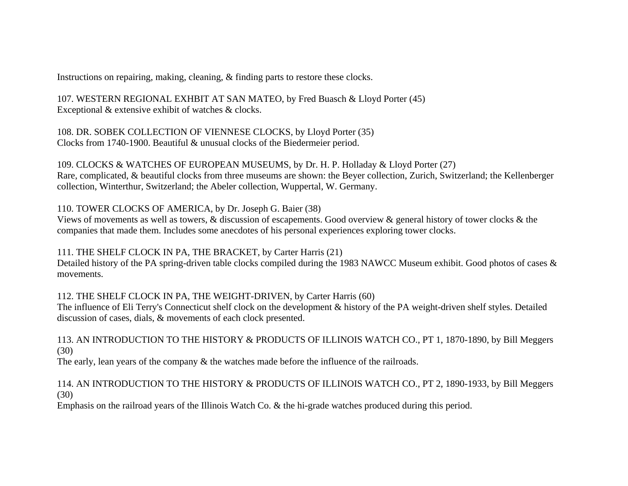Instructions on repairing, making, cleaning, & finding parts to restore these clocks.

107. WESTERN REGIONAL EXHBIT AT SAN MATEO, by Fred Buasch & Lloyd Porter (45) Exceptional & extensive exhibit of watches & clocks.

108. DR. SOBEK COLLECTION OF VIENNESE CLOCKS, by Lloyd Porter (35) Clocks from 1740-1900. Beautiful & unusual clocks of the Biedermeier period.

109. CLOCKS & WATCHES OF EUROPEAN MUSEUMS, by Dr. H. P. Holladay & Lloyd Porter (27) Rare, complicated, & beautiful clocks from three museums are shown: the Beyer collection, Zurich, Switzerland; the Kellenberger collection, Winterthur, Switzerland; the Abeler collection, Wuppertal, W. Germany.

110. TOWER CLOCKS OF AMERICA, by Dr. Joseph G. Baier (38)

Views of movements as well as towers, & discussion of escapements. Good overview & general history of tower clocks & the companies that made them. Includes some anecdotes of his personal experiences exploring tower clocks.

111. THE SHELF CLOCK IN PA, THE BRACKET, by Carter Harris (21)

Detailed history of the PA spring-driven table clocks compiled during the 1983 NAWCC Museum exhibit. Good photos of cases & movements.

112. THE SHELF CLOCK IN PA, THE WEIGHT-DRIVEN, by Carter Harris (60)

The influence of Eli Terry's Connecticut shelf clock on the development & history of the PA weight-driven shelf styles. Detailed discussion of cases, dials, & movements of each clock presented.

113. AN INTRODUCTION TO THE HISTORY & PRODUCTS OF ILLINOIS WATCH CO., PT 1, 1870-1890, by Bill Meggers (30)

The early, lean years of the company & the watches made before the influence of the railroads.

114. AN INTRODUCTION TO THE HISTORY & PRODUCTS OF ILLINOIS WATCH CO., PT 2, 1890-1933, by Bill Meggers (30)

Emphasis on the railroad years of the Illinois Watch Co. & the hi-grade watches produced during this period.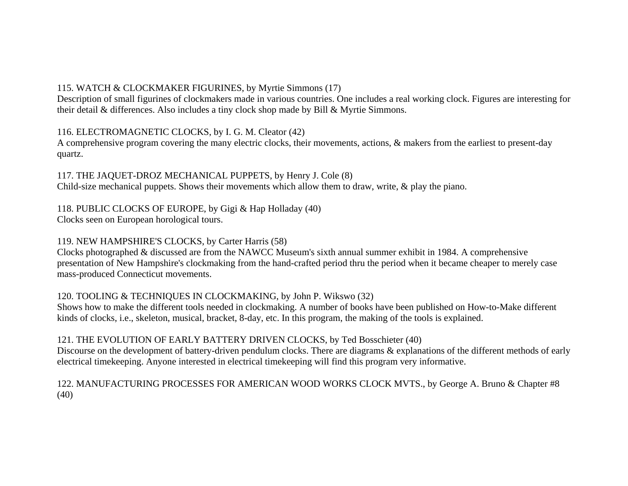# 115. WATCH & CLOCKMAKER FIGURINES, by Myrtie Simmons (17)

Description of small figurines of clockmakers made in various countries. One includes a real working clock. Figures are interesting for their detail & differences. Also includes a tiny clock shop made by Bill & Myrtie Simmons.

#### 116. ELECTROMAGNETIC CLOCKS, by I. G. M. Cleator (42)

A comprehensive program covering the many electric clocks, their movements, actions, & makers from the earliest to present-day quartz.

117. THE JAQUET-DROZ MECHANICAL PUPPETS, by Henry J. Cole (8) Child-size mechanical puppets. Shows their movements which allow them to draw, write, & play the piano.

# 118. PUBLIC CLOCKS OF EUROPE, by Gigi & Hap Holladay (40)

Clocks seen on European horological tours.

# 119. NEW HAMPSHIRE'S CLOCKS, by Carter Harris (58)

Clocks photographed & discussed are from the NAWCC Museum's sixth annual summer exhibit in 1984. A comprehensive presentation of New Hampshire's clockmaking from the hand-crafted period thru the period when it became cheaper to merely case mass-produced Connecticut movements.

# 120. TOOLING & TECHNIQUES IN CLOCKMAKING, by John P. Wikswo (32)

Shows how to make the different tools needed in clockmaking. A number of books have been published on How-to-Make different kinds of clocks, i.e., skeleton, musical, bracket, 8-day, etc. In this program, the making of the tools is explained.

# 121. THE EVOLUTION OF EARLY BATTERY DRIVEN CLOCKS, by Ted Bosschieter (40)

Discourse on the development of battery-driven pendulum clocks. There are diagrams & explanations of the different methods of early electrical timekeeping. Anyone interested in electrical timekeeping will find this program very informative.

122. MANUFACTURING PROCESSES FOR AMERICAN WOOD WORKS CLOCK MVTS., by George A. Bruno & Chapter #8 (40)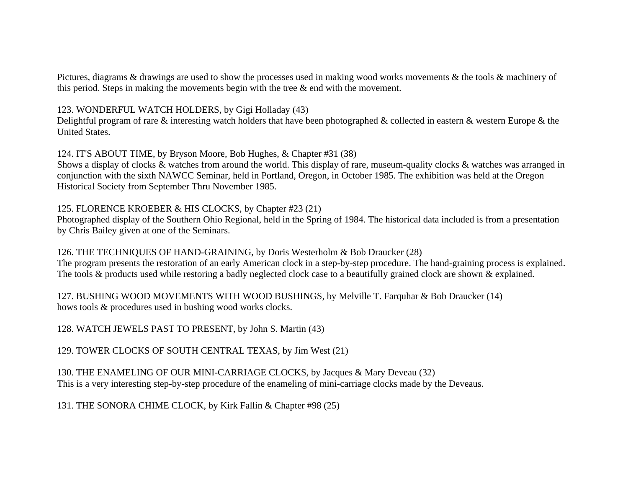Pictures, diagrams & drawings are used to show the processes used in making wood works movements & the tools & machinery of this period. Steps in making the movements begin with the tree  $\&$  end with the movement.

#### 123. WONDERFUL WATCH HOLDERS, by Gigi Holladay (43)

Delightful program of rare  $\&$  interesting watch holders that have been photographed  $\&$  collected in eastern  $\&$  western Europe  $\&$  the United States.

124. IT'S ABOUT TIME, by Bryson Moore, Bob Hughes, & Chapter #31 (38)

Shows a display of clocks & watches from around the world. This display of rare, museum-quality clocks & watches was arranged in conjunction with the sixth NAWCC Seminar, held in Portland, Oregon, in October 1985. The exhibition was held at the Oregon Historical Society from September Thru November 1985.

#### 125. FLORENCE KROEBER & HIS CLOCKS, by Chapter #23 (21)

Photographed display of the Southern Ohio Regional, held in the Spring of 1984. The historical data included is from a presentation by Chris Bailey given at one of the Seminars.

126. THE TECHNIQUES OF HAND-GRAINING, by Doris Westerholm & Bob Draucker (28)

The program presents the restoration of an early American clock in a step-by-step procedure. The hand-graining process is explained. The tools & products used while restoring a badly neglected clock case to a beautifully grained clock are shown & explained.

127. BUSHING WOOD MOVEMENTS WITH WOOD BUSHINGS, by Melville T. Farquhar & Bob Draucker (14) hows tools & procedures used in bushing wood works clocks.

128. WATCH JEWELS PAST TO PRESENT, by John S. Martin (43)

129. TOWER CLOCKS OF SOUTH CENTRAL TEXAS, by Jim West (21)

130. THE ENAMELING OF OUR MINI-CARRIAGE CLOCKS, by Jacques & Mary Deveau (32) This is a very interesting step-by-step procedure of the enameling of mini-carriage clocks made by the Deveaus.

131. THE SONORA CHIME CLOCK, by Kirk Fallin & Chapter #98 (25)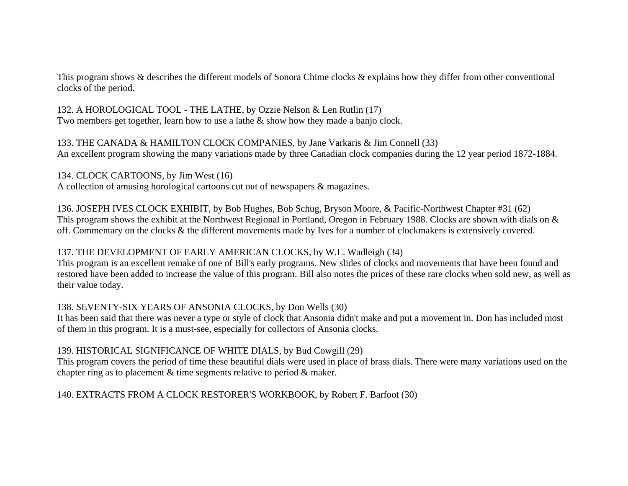This program shows & describes the different models of Sonora Chime clocks & explains how they differ from other conventional clocks of the period.

132. A HOROLOGICAL TOOL - THE LATHE, by Ozzie Nelson & Len Rutlin (17) Two members get together, learn how to use a lathe & show how they made a banjo clock.

133. THE CANADA & HAMILTON CLOCK COMPANIES, by Jane Varkaris & Jim Connell (33) An excellent program showing the many variations made by three Canadian clock companies during the 12 year period 1872-1884.

134. CLOCK CARTOONS, by Jim West (16)

A collection of amusing horological cartoons cut out of newspapers & magazines.

136. JOSEPH IVES CLOCK EXHIBIT, by Bob Hughes, Bob Schug, Bryson Moore, & Pacific-Northwest Chapter #31 (62) This program shows the exhibit at the Northwest Regional in Portland, Oregon in February 1988. Clocks are shown with dials on & off. Commentary on the clocks & the different movements made by Ives for a number of clockmakers is extensively covered.

#### 137. THE DEVELOPMENT OF EARLY AMERICAN CLOCKS, by W.L. Wadleigh (34)

This program is an excellent remake of one of Bill's early programs. New slides of clocks and movements that have been found and restored have been added to increase the value of this program. Bill also notes the prices of these rare clocks when sold new, as well as their value today.

# 138. SEVENTY-SIX YEARS OF ANSONIA CLOCKS, by Don Wells (30)

It has been said that there was never a type or style of clock that Ansonia didn't make and put a movement in. Don has included most of them in this program. It is a must-see, especially for collectors of Ansonia clocks.

#### 139. HISTORICAL SIGNIFICANCE OF WHITE DIALS, by Bud Cowgill (29)

This program covers the period of time these beautiful dials were used in place of brass dials. There were many variations used on the chapter ring as to placement & time segments relative to period & maker.

140. EXTRACTS FROM A CLOCK RESTORER'S WORKBOOK, by Robert F. Barfoot (30)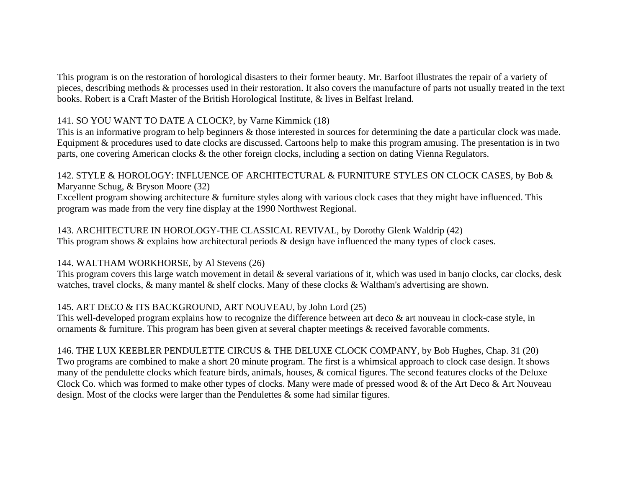This program is on the restoration of horological disasters to their former beauty. Mr. Barfoot illustrates the repair of a variety of pieces, describing methods & processes used in their restoration. It also covers the manufacture of parts not usually treated in the text books. Robert is a Craft Master of the British Horological Institute, & lives in Belfast Ireland.

## 141. SO YOU WANT TO DATE A CLOCK?, by Varne Kimmick (18)

This is an informative program to help beginners & those interested in sources for determining the date a particular clock was made. Equipment & procedures used to date clocks are discussed. Cartoons help to make this program amusing. The presentation is in two parts, one covering American clocks & the other foreign clocks, including a section on dating Vienna Regulators.

## 142. STYLE & HOROLOGY: INFLUENCE OF ARCHITECTURAL & FURNITURE STYLES ON CLOCK CASES, by Bob & Maryanne Schug, & Bryson Moore (32)

Excellent program showing architecture & furniture styles along with various clock cases that they might have influenced. This program was made from the very fine display at the 1990 Northwest Regional.

143. ARCHITECTURE IN HOROLOGY-THE CLASSICAL REVIVAL, by Dorothy Glenk Waldrip (42) This program shows & explains how architectural periods & design have influenced the many types of clock cases.

# 144. WALTHAM WORKHORSE, by Al Stevens (26)

This program covers this large watch movement in detail & several variations of it, which was used in banjo clocks, car clocks, desk watches, travel clocks, & many mantel & shelf clocks. Many of these clocks & Waltham's advertising are shown.

# 145. ART DECO & ITS BACKGROUND, ART NOUVEAU, by John Lord (25)

This well-developed program explains how to recognize the difference between art deco & art nouveau in clock-case style, in ornaments & furniture. This program has been given at several chapter meetings & received favorable comments.

# 146. THE LUX KEEBLER PENDULETTE CIRCUS & THE DELUXE CLOCK COMPANY, by Bob Hughes, Chap. 31 (20)

Two programs are combined to make a short 20 minute program. The first is a whimsical approach to clock case design. It shows many of the pendulette clocks which feature birds, animals, houses, & comical figures. The second features clocks of the Deluxe Clock Co. which was formed to make other types of clocks. Many were made of pressed wood & of the Art Deco & Art Nouveau design. Most of the clocks were larger than the Pendulettes  $\&$  some had similar figures.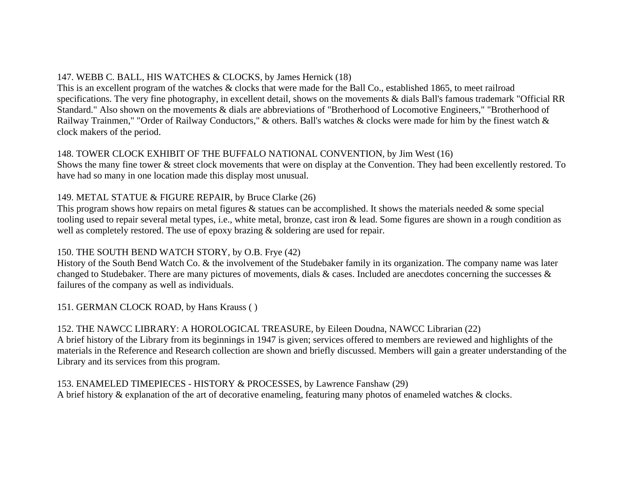# 147. WEBB C. BALL, HIS WATCHES & CLOCKS, by James Hernick (18)

This is an excellent program of the watches & clocks that were made for the Ball Co., established 1865, to meet railroad specifications. The very fine photography, in excellent detail, shows on the movements & dials Ball's famous trademark "Official RR Standard." Also shown on the movements & dials are abbreviations of "Brotherhood of Locomotive Engineers," "Brotherhood of Railway Trainmen," "Order of Railway Conductors," & others. Ball's watches & clocks were made for him by the finest watch & clock makers of the period.

# 148. TOWER CLOCK EXHIBIT OF THE BUFFALO NATIONAL CONVENTION, by Jim West (16)

Shows the many fine tower & street clock movements that were on display at the Convention. They had been excellently restored. To have had so many in one location made this display most unusual.

# 149. METAL STATUE & FIGURE REPAIR, by Bruce Clarke (26)

This program shows how repairs on metal figures  $\&$  statues can be accomplished. It shows the materials needed  $\&$  some special tooling used to repair several metal types, i.e., white metal, bronze, cast iron & lead. Some figures are shown in a rough condition as well as completely restored. The use of epoxy brazing  $\&$  soldering are used for repair.

# 150. THE SOUTH BEND WATCH STORY, by O.B. Frye (42)

History of the South Bend Watch Co. & the involvement of the Studebaker family in its organization. The company name was later changed to Studebaker. There are many pictures of movements, dials  $\&$  cases. Included are anecdotes concerning the successes  $\&$ failures of the company as well as individuals.

# 151. GERMAN CLOCK ROAD, by Hans Krauss ( )

# 152. THE NAWCC LIBRARY: A HOROLOGICAL TREASURE, by Eileen Doudna, NAWCC Librarian (22)

A brief history of the Library from its beginnings in 1947 is given; services offered to members are reviewed and highlights of the materials in the Reference and Research collection are shown and briefly discussed. Members will gain a greater understanding of the Library and its services from this program.

153. ENAMELED TIMEPIECES - HISTORY & PROCESSES, by Lawrence Fanshaw (29) A brief history & explanation of the art of decorative enameling, featuring many photos of enameled watches & clocks.